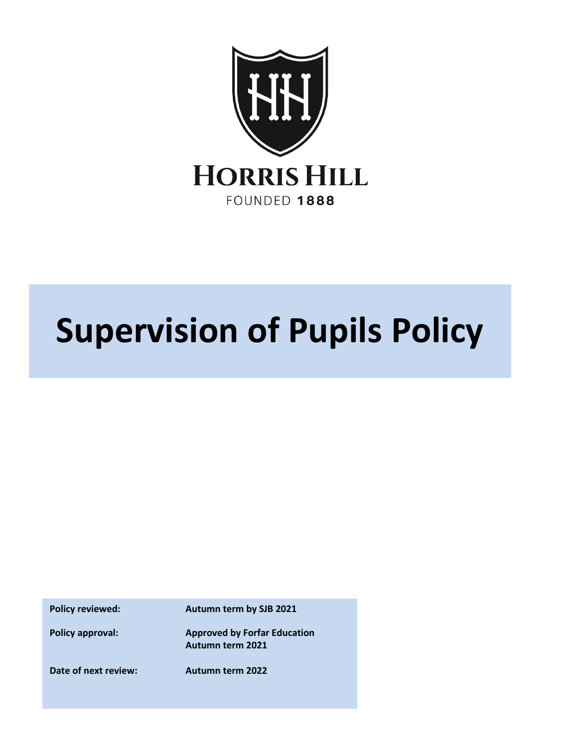

## **Supervision of Pupils Policy**

**Policy reviewed: Autumn term by SJB 2021**

**Policy approval: Approved by Forfar Education Autumn term 2021**

**Date of next review: Autumn term 2022**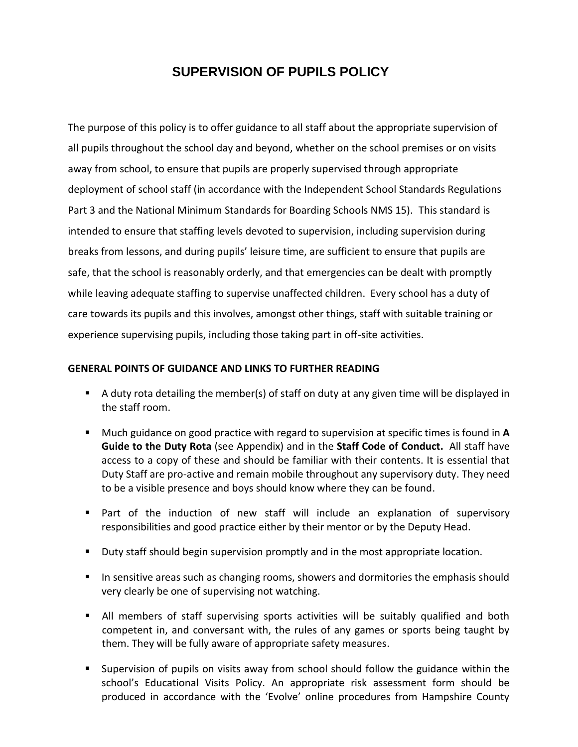## **SUPERVISION OF PUPILS POLICY**

The purpose of this policy is to offer guidance to all staff about the appropriate supervision of all pupils throughout the school day and beyond, whether on the school premises or on visits away from school, to ensure that pupils are properly supervised through appropriate deployment of school staff (in accordance with the Independent School Standards Regulations Part 3 and the National Minimum Standards for Boarding Schools NMS 15). This standard is intended to ensure that staffing levels devoted to supervision, including supervision during breaks from lessons, and during pupils' leisure time, are sufficient to ensure that pupils are safe, that the school is reasonably orderly, and that emergencies can be dealt with promptly while leaving adequate staffing to supervise unaffected children. Every school has a duty of care towards its pupils and this involves, amongst other things, staff with suitable training or experience supervising pupils, including those taking part in off-site activities.

## **GENERAL POINTS OF GUIDANCE AND LINKS TO FURTHER READING**

- A duty rota detailing the member(s) of staff on duty at any given time will be displayed in the staff room.
- Much guidance on good practice with regard to supervision at specific times is found in **A Guide to the Duty Rota** (see Appendix) and in the **Staff Code of Conduct.** All staff have access to a copy of these and should be familiar with their contents. It is essential that Duty Staff are pro-active and remain mobile throughout any supervisory duty. They need to be a visible presence and boys should know where they can be found.
- Part of the induction of new staff will include an explanation of supervisory responsibilities and good practice either by their mentor or by the Deputy Head.
- Duty staff should begin supervision promptly and in the most appropriate location.
- **■** In sensitive areas such as changing rooms, showers and dormitories the emphasis should very clearly be one of supervising not watching.
- **E** All members of staff supervising sports activities will be suitably qualified and both competent in, and conversant with, the rules of any games or sports being taught by them. They will be fully aware of appropriate safety measures.
- Supervision of pupils on visits away from school should follow the guidance within the school's Educational Visits Policy. An appropriate risk assessment form should be produced in accordance with the 'Evolve' online procedures from Hampshire County